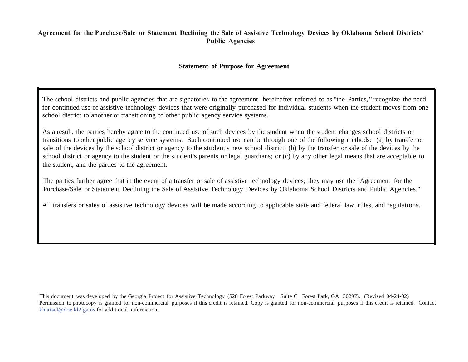## **Agreement for the Purchase/Sale or Statement Declining the Sale of Assistive Technology Devices by Oklahoma School Districts/ Public Agencies**

## **Statement of Purpose for Agreement**

The school districts and public agencies that are signatories to the agreement, hereinafter referred to as "the Parties," recognize the need for continued use of assistive technology devices that were originally purchased for individual students when the student moves from one school district to another or transitioning to other public agency service systems.

As a result, the parties hereby agree to the continued use of such devices by the student when the student changes school districts or transitions to other public agency service systems. Such continued use can be through one of the following methods: (a) by transfer or sale of the devices by the school district or agency to the student's new school district; (b) by the transfer or sale of the devices by the school district or agency to the student or the student's parents or legal guardians; or (c) by any other legal means that are acceptable to the student, and the parties to the agreement.

The parties further agree that in the event of a transfer or sale of assistive technology devices, they may use the "Agreement for the Purchase/Sale or Statement Declining the Sale of Assistive Technology Devices by Oklahoma School Districts and Public Agencies."

All transfers or sales of assistive technology devices will be made according to applicable state and federal law, rules, and regulations.

This document was developed by the Georgia Project for Assistive Technology (528 Forest Parkway Suite C Forest Park, GA 30297). (Revised 04-24-02) Permission to photocopy is granted for non-commercial purposes if this credit is retained. Copy is granted for non-commercial purposes if this credit is retained. Contact khartsel@doe.kl2.ga.us for additional information.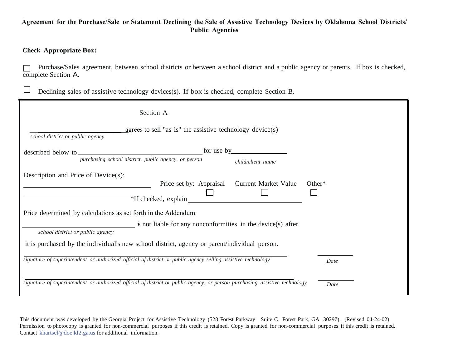## **Agreement for the Purchase/Sale or Statement Declining the Sale of Assistive Technology Devices by Oklahoma School Districts/ Public Agencies**

## **Check Appropriate Box:**

 $\Box$ 

□ Purchase/Sales agreement, between school districts or between a school district and a public agency or parents. If box is checked, complete Section A.

Declining sales of assistive technology devices(s). If box is checked, complete Section B.

| Section A                                                                                                                  |            |                                                                               |           |
|----------------------------------------------------------------------------------------------------------------------------|------------|-------------------------------------------------------------------------------|-----------|
| agrees to sell "as is" the assistive technology device(s)<br>school district or public agency                              |            |                                                                               |           |
|                                                                                                                            | for use by |                                                                               |           |
| purchasing school district, public agency, or person                                                                       |            | child/client name                                                             |           |
| Description and Price of Device(s):                                                                                        |            |                                                                               |           |
| *If checked, explain                                                                                                       |            | Price set by: Appraisal Current Market Value                                  | Other $*$ |
| Price determined by calculations as set forth in the Addendum.                                                             |            |                                                                               |           |
| school district or public agency                                                                                           |            | $\ddot{\mathbf{s}}$ not liable for any nonconformities in the device(s) after |           |
| it is purchased by the individual's new school district, agency or parent/individual person.                               |            |                                                                               |           |
| signature of superintendent or authorized official of district or public agency selling assistive technology               |            |                                                                               | Date      |
| signature of superintendent or authorized official of district or public agency, or person purchasing assistive technology |            |                                                                               | Date      |

This document was developed by the Georgia Project for Assistive Technology (528 Forest Parkway Suite C Forest Park, GA 30297). (Revised 04-24-02) Permission to photocopy is granted for non-commercial purposes if this credit is retained. Copy is granted for non-commercial purposes if this credit is retai[ned.](mailto:khartsel@doe.kl2.ga.us)  Contact khartsel@doe.kl2.ga.us for additional information.